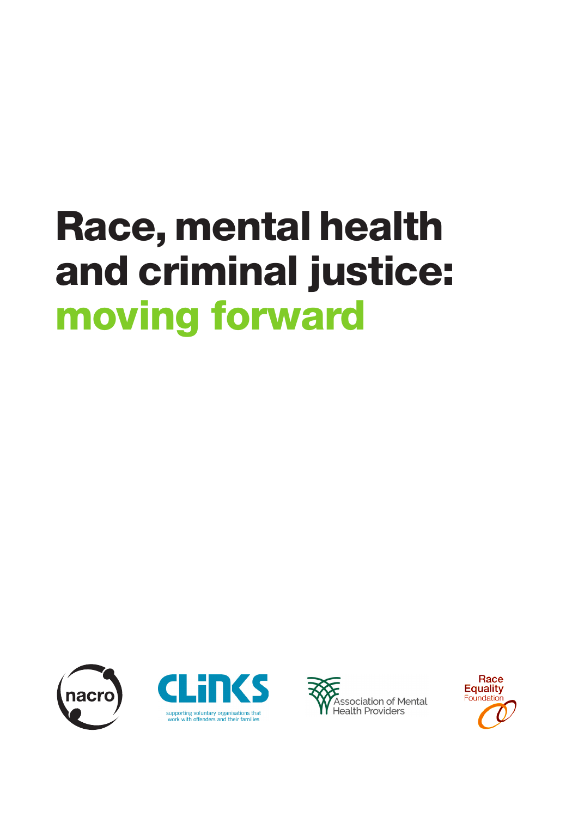# Race, mental health and criminal justice: moving forward







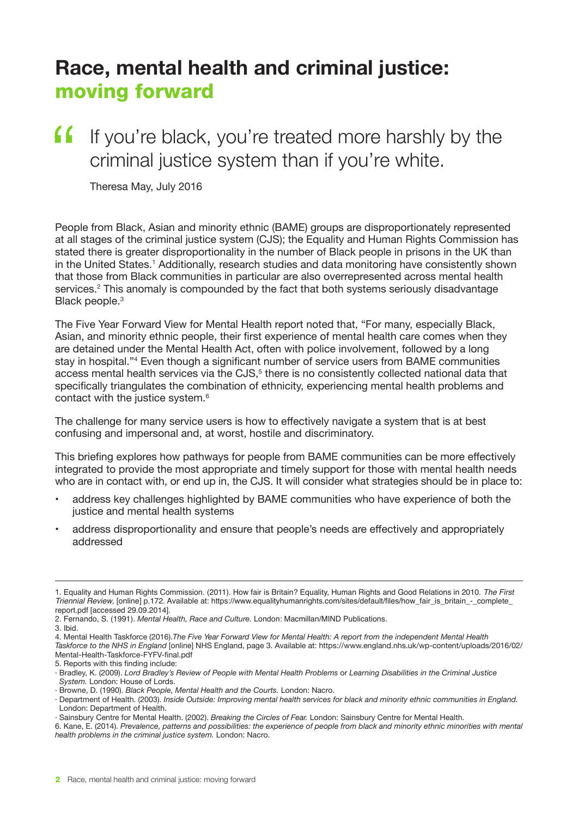## **Race, mental health and criminal justice:** moving forward

## If you're black, you're treated more harshly by the criminal justice system than if you're white. "

Theresa May, July 2016

People from Black, Asian and minority ethnic (BAME) groups are disproportionately represented at all stages of the criminal justice system (CJS); the Equality and Human Rights Commission has stated there is greater disproportionality in the number of Black people in prisons in the UK than in the United States.<sup>1</sup> Additionally, research studies and data monitoring have consistently shown that those from Black communities in particular are also overrepresented across mental health services.<sup>2</sup> This anomaly is compounded by the fact that both systems seriously disadvantage Black people.<sup>3</sup>

The Five Year Forward View for Mental Health report noted that, "For many, especially Black, Asian, and minority ethnic people, their first experience of mental health care comes when they are detained under the Mental Health Act, often with police involvement, followed by a long stay in hospital."<sup>4</sup> Even though a significant number of service users from BAME communities access mental health services via the CJS, $^5$  there is no consistently collected national data that specifically triangulates the combination of ethnicity, experiencing mental health problems and contact with the justice system.<sup>6</sup>

The challenge for many service users is how to effectively navigate a system that is at best confusing and impersonal and, at worst, hostile and discriminatory.

This briefing explores how pathways for people from BAME communities can be more effectively integrated to provide the most appropriate and timely support for those with mental health needs who are in contact with, or end up in, the CJS. It will consider what strategies should be in place to:

- address key challenges highlighted by BAME communities who have experience of both the justice and mental health systems
- address disproportionality and ensure that people's needs are effectively and appropriately addressed

- 2. Fernando, S. (1991). *Mental Health, Race and Culture.* London: Macmillan/MIND Publications.
- 3. Ibid.
- 4. Mental Health Taskforce (2016).*The Five Year Forward View for Mental Health: A report from the independent Mental Health Taskforce to the NHS in England* [online] NHS England, page 3. Available at: https://www.england.nhs.uk/wp-content/uploads/2016/02/
- Mental-Health-Taskforce-FYFV-final.pdf

· Browne, D. (1990). *Black People, Mental Health and the Courts.* London: Nacro.

<sup>1</sup>. Equality and Human Rights Commission. (2011). How fair is Britain? Equality, Human Rights and Good Relations in 2010. *The First Triennial Review*, [online] p.172. Available at: https://www.equalityhumanrights.com/sites/default/files/how\_fair\_is\_britain\_-\_complete\_ report.pdf [accessed 29.09.2014].

<sup>5.</sup> Reports with this finding include:

<sup>·</sup> Bradley, K. (2009). *Lord Bradley's Review of People with Mental Health Problems* or *Learning Disabilities in the Criminal Justice System.* London: House of Lords.

<sup>·</sup> Department of Health. (2003). *Inside Outside: Improving mental health services for black and minority ethnic communities in England.* London: Department of Health.

<sup>·</sup> Sainsbury Centre for Mental Health. (2002). *Breaking the Circles of Fear.* London: Sainsbury Centre for Mental Health.

<sup>6.</sup> Kane, E. (2014). *Prevalence, patterns and possibilities: the experience of people from black and minority ethnic minorities with mental health problems in the criminal justice system.* London: Nacro.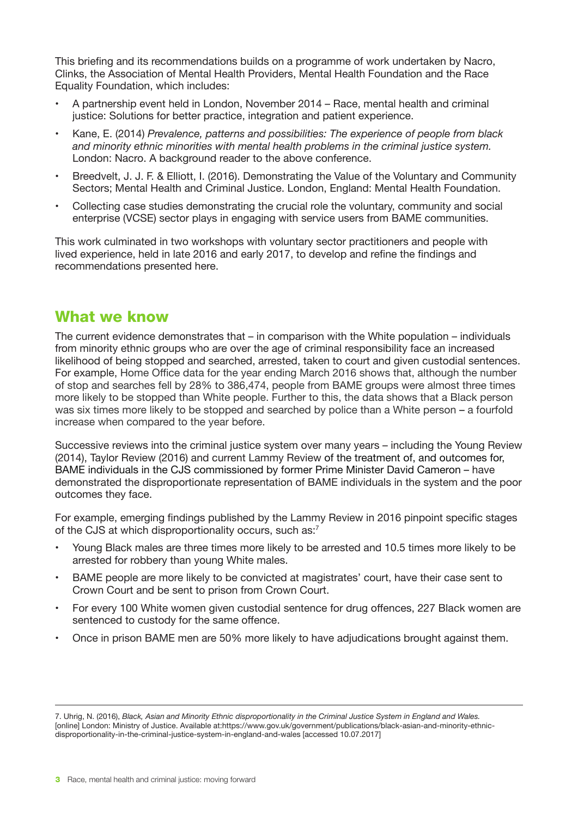This briefing and its recommendations builds on a programme of work undertaken by Nacro, Clinks, the Association of Mental Health Providers, Mental Health Foundation and the Race Equality Foundation, which includes:

- A partnership event held in London, November 2014 Race, mental health and criminal justice: Solutions for better practice, integration and patient experience.
- Kane, E. (2014) *Prevalence, patterns and possibilities: The experience of people from black and minority ethnic minorities with mental health problems in the criminal justice system.* London: Nacro. A background reader to the above conference.
- Breedvelt, J. J. F. & Elliott, I. (2016). Demonstrating the Value of the Voluntary and Community Sectors; Mental Health and Criminal Justice. London, England: Mental Health Foundation.
- Collecting case studies demonstrating the crucial role the voluntary, community and social enterprise (VCSE) sector plays in engaging with service users from BAME communities.

This work culminated in two workshops with voluntary sector practitioners and people with lived experience, held in late 2016 and early 2017, to develop and refine the findings and recommendations presented here.

#### What we know

The current evidence demonstrates that – in comparison with the White population – individuals from minority ethnic groups who are over the age of criminal responsibility face an increased likelihood of being stopped and searched, arrested, taken to court and given custodial sentences. For example, Home Office data for the year ending March 2016 shows that, although the number of stop and searches fell by 28% to 386,474, people from BAME groups were almost three times more likely to be stopped than White people. Further to this, the data shows that a Black person was six times more likely to be stopped and searched by police than a White person – a fourfold increase when compared to the year before.

Successive reviews into the criminal justice system over many years – including the Young Review (2014), Taylor Review (2016) and current Lammy Review of the treatment of, and outcomes for, BAME individuals in the CJS commissioned by former Prime Minister David Cameron – have demonstrated the disproportionate representation of BAME individuals in the system and the poor outcomes they face.

For example, emerging findings published by the Lammy Review in 2016 pinpoint specific stages of the CJS at which disproportionality occurs, such as:<sup>7</sup>

- Young Black males are three times more likely to be arrested and 10.5 times more likely to be arrested for robbery than young White males.
- BAME people are more likely to be convicted at magistrates' court, have their case sent to Crown Court and be sent to prison from Crown Court.
- For every 100 White women given custodial sentence for drug offences, 227 Black women are sentenced to custody for the same offence.
- Once in prison BAME men are 50% more likely to have adjudications brought against them.

<sup>7.</sup> Uhrig, N. (2016), *Black, Asian and Minority Ethnic disproportionality in the Criminal Justice System in England and Wales.* [online] London: Ministry of Justice. Available at:https://www.gov.uk/government/publications/black-asian-and-minority-ethnicdisproportionality-in-the-criminal-justice-system-in-england-and-wales [accessed 10.07.2017]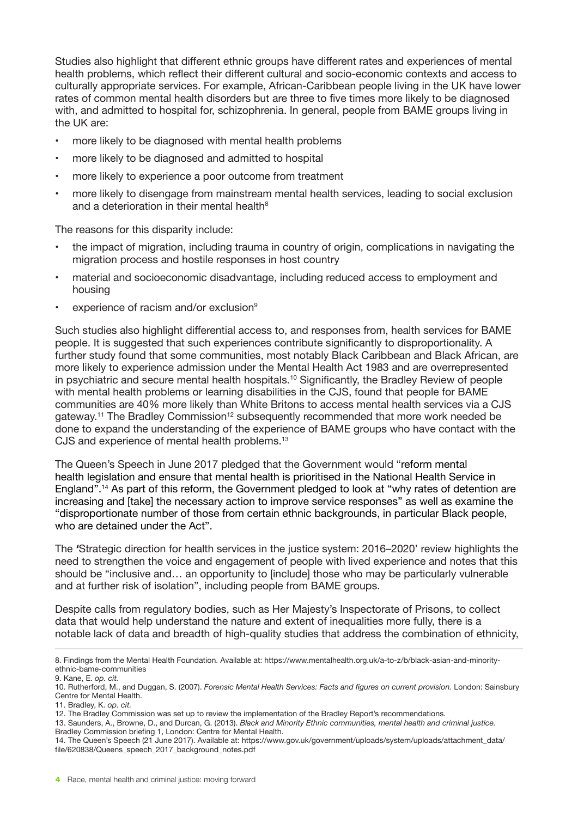Studies also highlight that different ethnic groups have different rates and experiences of mental health problems, which reflect their different cultural and socio-economic contexts and access to culturally appropriate services. For example, African-Caribbean people living in the UK have lower rates of common mental health disorders but are three to five times more likely to be diagnosed with, and admitted to hospital for, schizophrenia. In general, people from BAME groups living in the UK are:

- more likely to be diagnosed with mental health problems
- more likely to be diagnosed and admitted to hospital
- more likely to experience a poor outcome from treatment
- more likely to disengage from mainstream mental health services, leading to social exclusion and a deterioration in their mental health<sup>8</sup>

The reasons for this disparity include:

- the impact of migration, including trauma in country of origin, complications in navigating the migration process and hostile responses in host country
- material and socioeconomic disadvantage, including reduced access to employment and housing
- experience of racism and/or exclusion<sup>9</sup>

Such studies also highlight differential access to, and responses from, health services for BAME people. It is suggested that such experiences contribute significantly to disproportionality. A further study found that some communities, most notably Black Caribbean and Black African, are more likely to experience admission under the Mental Health Act 1983 and are overrepresented in psychiatric and secure mental health hospitals.<sup>10</sup> Significantly, the Bradley Review of people with mental health problems or learning disabilities in the CJS, found that people for BAME communities are 40% more likely than White Britons to access mental health services via a CJS gateway.<sup>11</sup> The Bradley Commission<sup>12</sup> subsequently recommended that more work needed be done to expand the understanding of the experience of BAME groups who have contact with the CJS and experience of mental health problems.<sup>13</sup>

The Queen's Speech in June 2017 pledged that the Government would "reform mental health legislation and ensure that mental health is prioritised in the National Health Service in England".14 As part of this reform, the Government pledged to look at "why rates of detention are increasing and [take] the necessary action to improve service responses" as well as examine the "disproportionate number of those from certain ethnic backgrounds, in particular Black people, who are detained under the Act".

The *'*Strategic direction for health services in the justice system: 2016–2020' review highlights the need to strengthen the voice and engagement of people with lived experience and notes that this should be "inclusive and… an opportunity to [include] those who may be particularly vulnerable and at further risk of isolation", including people from BAME groups.

Despite calls from regulatory bodies, such as Her Majesty's Inspectorate of Prisons, to collect data that would help understand the nature and extent of inequalities more fully, there is a notable lack of data and breadth of high-quality studies that address the combination of ethnicity,

11. Bradley, K. *op. cit.*

<sup>8.</sup> Findings from the Mental Health Foundation. Available at: https://www.mentalhealth.org.uk/a-to-z/b/black-asian-and-minorityethnic-bame-communities

<sup>9.</sup> Kane, E. *op. cit.*

<sup>10.</sup> Rutherford, M., and Duggan, S. (2007). *Forensic Mental Health Services: Facts and figures on current provision.* London: Sainsbury Centre for Mental Health.

<sup>12.</sup> The Bradley Commission was set up to review the implementation of the Bradley Report's recommendations.

<sup>13.</sup> Saunders, A., Browne, D., and Durcan, G. (2013). *Black and Minority Ethnic communities, mental health and criminal justice.*  Bradley Commission briefing 1, London: Centre for Mental Health.

<sup>14.</sup> The Queen's Speech (21 June 2017). Available at: https://www.gov.uk/government/uploads/system/uploads/attachment\_data/ file/620838/Queens\_speech\_2017\_background\_notes.pdf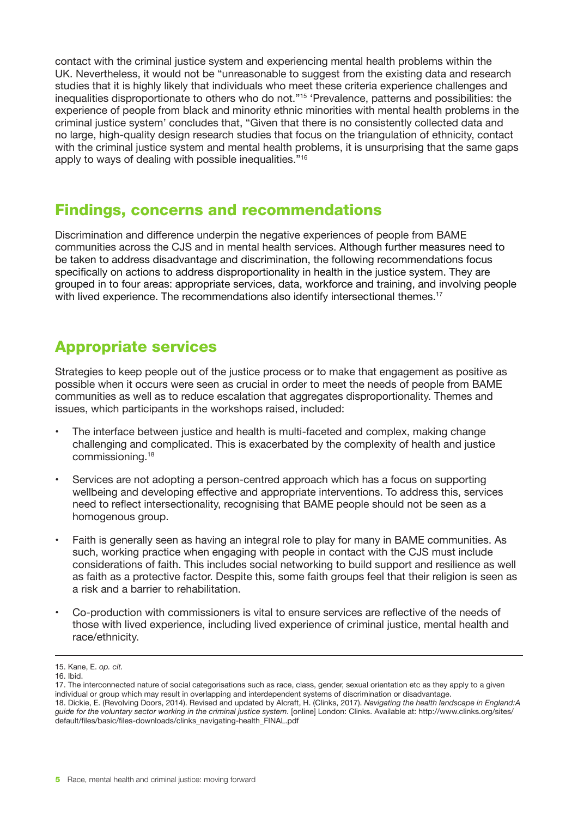contact with the criminal justice system and experiencing mental health problems within the UK. Nevertheless, it would not be "unreasonable to suggest from the existing data and research studies that it is highly likely that individuals who meet these criteria experience challenges and inequalities disproportionate to others who do not."15 'Prevalence, patterns and possibilities: the experience of people from black and minority ethnic minorities with mental health problems in the criminal justice system' concludes that, "Given that there is no consistently collected data and no large, high-quality design research studies that focus on the triangulation of ethnicity, contact with the criminal justice system and mental health problems, it is unsurprising that the same gaps apply to ways of dealing with possible inequalities."16

#### Findings, concerns and recommendations

Discrimination and difference underpin the negative experiences of people from BAME communities across the CJS and in mental health services. Although further measures need to be taken to address disadvantage and discrimination, the following recommendations focus specifically on actions to address disproportionality in health in the justice system. They are grouped in to four areas: appropriate services, data, workforce and training, and involving people with lived experience. The recommendations also identify intersectional themes.<sup>17</sup>

#### Appropriate services

Strategies to keep people out of the justice process or to make that engagement as positive as possible when it occurs were seen as crucial in order to meet the needs of people from BAME communities as well as to reduce escalation that aggregates disproportionality. Themes and issues, which participants in the workshops raised, included:

- The interface between justice and health is multi-faceted and complex, making change challenging and complicated. This is exacerbated by the complexity of health and justice commissioning.18
- Services are not adopting a person-centred approach which has a focus on supporting wellbeing and developing effective and appropriate interventions. To address this, services need to reflect intersectionality, recognising that BAME people should not be seen as a homogenous group.
- Faith is generally seen as having an integral role to play for many in BAME communities. As such, working practice when engaging with people in contact with the CJS must include considerations of faith. This includes social networking to build support and resilience as well as faith as a protective factor. Despite this, some faith groups feel that their religion is seen as a risk and a barrier to rehabilitation.
- Co-production with commissioners is vital to ensure services are reflective of the needs of those with lived experience, including lived experience of criminal justice, mental health and race/ethnicity.

<sup>15.</sup> Kane, E. *op. cit.*

<sup>16.</sup> Ibid.

<sup>17.</sup> The interconnected nature of social categorisations such as race, class, gender, sexual orientation etc as they apply to a given individual or group which may result in overlapping and interdependent systems of discrimination or disadvantage. 18. Dickie, E. (Revolving Doors, 2014). Revised and updated by Alcraft, H. (Clinks, 2017). *Navigating the health landscape in England:A guide for the voluntary sector working in the criminal justice system.* [online] London: Clinks. Available at: http://www.clinks.org/sites/ default/files/basic/files-downloads/clinks\_navigating-health\_FINAL.pdf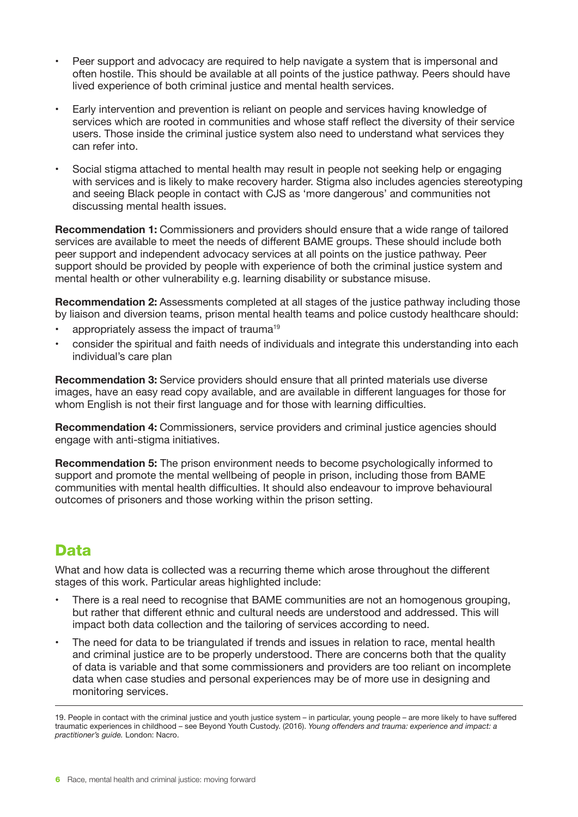- Peer support and advocacy are required to help navigate a system that is impersonal and often hostile. This should be available at all points of the justice pathway. Peers should have lived experience of both criminal justice and mental health services.
- Early intervention and prevention is reliant on people and services having knowledge of services which are rooted in communities and whose staff reflect the diversity of their service users. Those inside the criminal justice system also need to understand what services they can refer into.
- Social stigma attached to mental health may result in people not seeking help or engaging with services and is likely to make recovery harder. Stigma also includes agencies stereotyping and seeing Black people in contact with CJS as 'more dangerous' and communities not discussing mental health issues.

**Recommendation 1:** Commissioners and providers should ensure that a wide range of tailored services are available to meet the needs of different BAME groups. These should include both peer support and independent advocacy services at all points on the justice pathway. Peer support should be provided by people with experience of both the criminal justice system and mental health or other vulnerability e.g. learning disability or substance misuse.

**Recommendation 2:** Assessments completed at all stages of the justice pathway including those by liaison and diversion teams, prison mental health teams and police custody healthcare should:

- appropriately assess the impact of trauma<sup>19</sup>
- consider the spiritual and faith needs of individuals and integrate this understanding into each individual's care plan

**Recommendation 3:** Service providers should ensure that all printed materials use diverse images, have an easy read copy available, and are available in different languages for those for whom English is not their first language and for those with learning difficulties.

**Recommendation 4:** Commissioners, service providers and criminal justice agencies should engage with anti-stigma initiatives.

**Recommendation 5:** The prison environment needs to become psychologically informed to support and promote the mental wellbeing of people in prison, including those from BAME communities with mental health difficulties. It should also endeavour to improve behavioural outcomes of prisoners and those working within the prison setting.

#### Data

What and how data is collected was a recurring theme which arose throughout the different stages of this work. Particular areas highlighted include:

- There is a real need to recognise that BAME communities are not an homogenous grouping, but rather that different ethnic and cultural needs are understood and addressed. This will impact both data collection and the tailoring of services according to need.
- The need for data to be triangulated if trends and issues in relation to race, mental health and criminal justice are to be properly understood. There are concerns both that the quality of data is variable and that some commissioners and providers are too reliant on incomplete data when case studies and personal experiences may be of more use in designing and monitoring services.

<sup>19.</sup> People in contact with the criminal justice and youth justice system – in particular, young people – are more likely to have suffered traumatic experiences in childhood – see Beyond Youth Custody. (2016). *Young offenders and trauma: experience and impact: a practitioner's guide.* London: Nacro.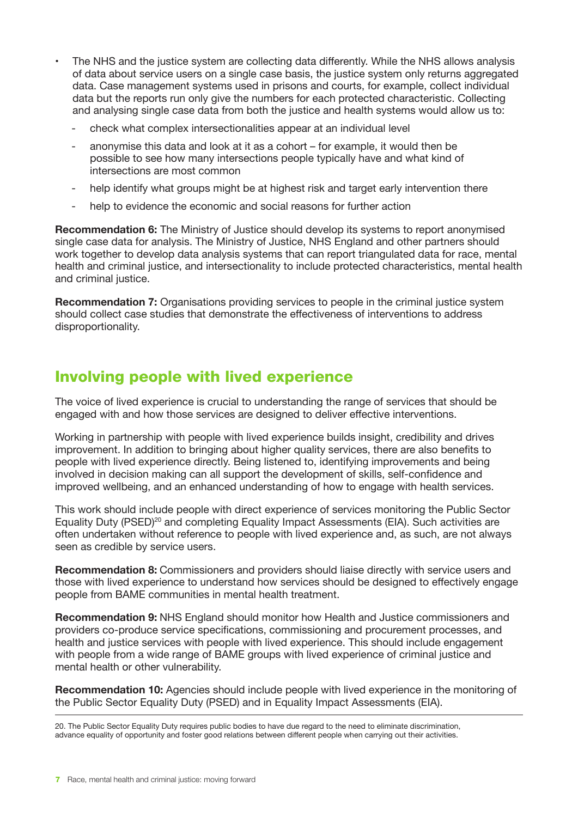- The NHS and the justice system are collecting data differently. While the NHS allows analysis of data about service users on a single case basis, the justice system only returns aggregated data. Case management systems used in prisons and courts, for example, collect individual data but the reports run only give the numbers for each protected characteristic. Collecting and analysing single case data from both the justice and health systems would allow us to:
	- check what complex intersectionalities appear at an individual level
	- anonymise this data and look at it as a cohort for example, it would then be possible to see how many intersections people typically have and what kind of intersections are most common
	- help identify what groups might be at highest risk and target early intervention there
	- help to evidence the economic and social reasons for further action

**Recommendation 6:** The Ministry of Justice should develop its systems to report anonymised single case data for analysis. The Ministry of Justice, NHS England and other partners should work together to develop data analysis systems that can report triangulated data for race, mental health and criminal justice, and intersectionality to include protected characteristics, mental health and criminal justice.

**Recommendation 7:** Organisations providing services to people in the criminal justice system should collect case studies that demonstrate the effectiveness of interventions to address disproportionality.

#### Involving people with lived experience

The voice of lived experience is crucial to understanding the range of services that should be engaged with and how those services are designed to deliver effective interventions.

Working in partnership with people with lived experience builds insight, credibility and drives improvement. In addition to bringing about higher quality services, there are also benefits to people with lived experience directly. Being listened to, identifying improvements and being involved in decision making can all support the development of skills, self-confidence and improved wellbeing, and an enhanced understanding of how to engage with health services.

This work should include people with direct experience of services monitoring the Public Sector Equality Duty (PSED)20 and completing Equality Impact Assessments (EIA). Such activities are often undertaken without reference to people with lived experience and, as such, are not always seen as credible by service users.

**Recommendation 8:** Commissioners and providers should liaise directly with service users and those with lived experience to understand how services should be designed to effectively engage people from BAME communities in mental health treatment.

**Recommendation 9:** NHS England should monitor how Health and Justice commissioners and providers co-produce service specifications, commissioning and procurement processes, and health and justice services with people with lived experience. This should include engagement with people from a wide range of BAME groups with lived experience of criminal justice and mental health or other vulnerability.

**Recommendation 10:** Agencies should include people with lived experience in the monitoring of the Public Sector Equality Duty (PSED) and in Equality Impact Assessments (EIA).

20. The Public Sector Equality Duty requires public bodies to have due regard to the need to eliminate discrimination, advance equality of opportunity and foster good relations between different people when carrying out their activities.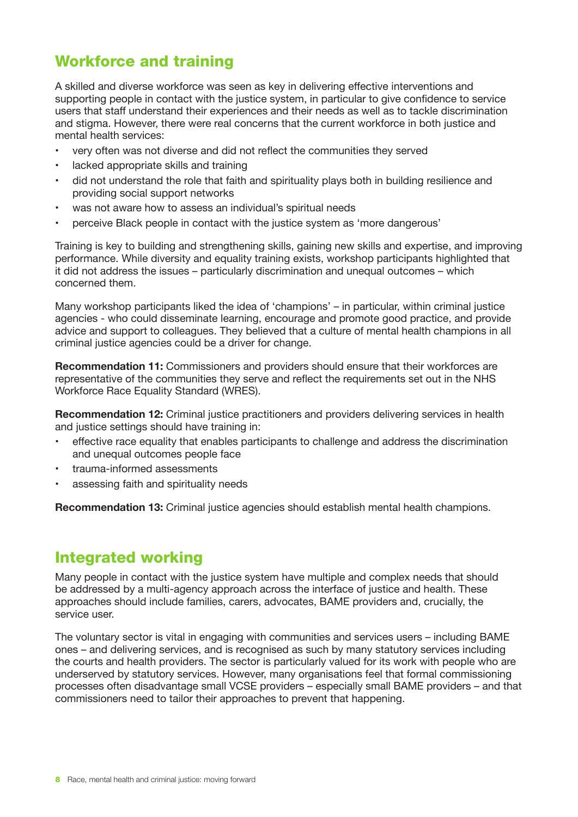### Workforce and training

A skilled and diverse workforce was seen as key in delivering effective interventions and supporting people in contact with the justice system, in particular to give confidence to service users that staff understand their experiences and their needs as well as to tackle discrimination and stigma. However, there were real concerns that the current workforce in both justice and mental health services:

- very often was not diverse and did not reflect the communities they served
- lacked appropriate skills and training
- did not understand the role that faith and spirituality plays both in building resilience and providing social support networks
- was not aware how to assess an individual's spiritual needs
- perceive Black people in contact with the justice system as 'more dangerous'

Training is key to building and strengthening skills, gaining new skills and expertise, and improving performance. While diversity and equality training exists, workshop participants highlighted that it did not address the issues – particularly discrimination and unequal outcomes – which concerned them.

Many workshop participants liked the idea of 'champions' – in particular, within criminal justice agencies - who could disseminate learning, encourage and promote good practice, and provide advice and support to colleagues. They believed that a culture of mental health champions in all criminal justice agencies could be a driver for change.

**Recommendation 11:** Commissioners and providers should ensure that their workforces are representative of the communities they serve and reflect the requirements set out in the NHS Workforce Race Equality Standard (WRES).

**Recommendation 12:** Criminal justice practitioners and providers delivering services in health and justice settings should have training in:

- effective race equality that enables participants to challenge and address the discrimination and unequal outcomes people face
- trauma-informed assessments
- assessing faith and spirituality needs

**Recommendation 13:** Criminal justice agencies should establish mental health champions.

#### Integrated working

Many people in contact with the justice system have multiple and complex needs that should be addressed by a multi-agency approach across the interface of justice and health. These approaches should include families, carers, advocates, BAME providers and, crucially, the service user.

The voluntary sector is vital in engaging with communities and services users – including BAME ones – and delivering services, and is recognised as such by many statutory services including the courts and health providers. The sector is particularly valued for its work with people who are underserved by statutory services. However, many organisations feel that formal commissioning processes often disadvantage small VCSE providers – especially small BAME providers – and that commissioners need to tailor their approaches to prevent that happening.